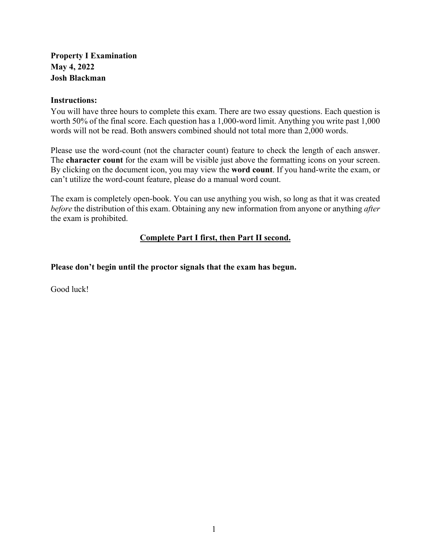# **Property I Examination May 4, 2022 Josh Blackman**

### **Instructions:**

You will have three hours to complete this exam. There are two essay questions. Each question is worth 50% of the final score. Each question has a 1,000-word limit. Anything you write past 1,000 words will not be read. Both answers combined should not total more than 2,000 words.

Please use the word-count (not the character count) feature to check the length of each answer. The **character count** for the exam will be visible just above the formatting icons on your screen. By clicking on the document icon, you may view the **word count**. If you hand-write the exam, or can't utilize the word-count feature, please do a manual word count.

The exam is completely open-book. You can use anything you wish, so long as that it was created *before* the distribution of this exam. Obtaining any new information from anyone or anything *after* the exam is prohibited.

# **Complete Part I first, then Part II second.**

**Please don't begin until the proctor signals that the exam has begun.**

Good luck!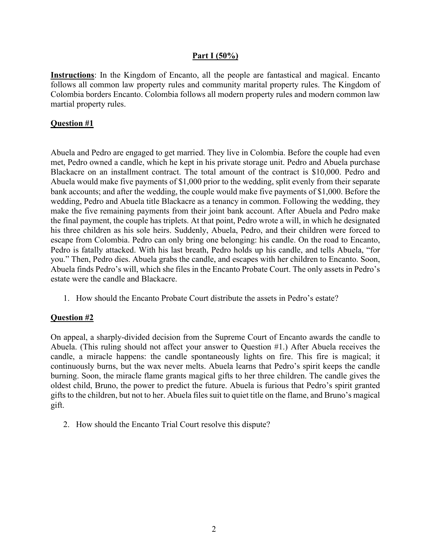## **Part I (50%)**

**Instructions**: In the Kingdom of Encanto, all the people are fantastical and magical. Encanto follows all common law property rules and community marital property rules. The Kingdom of Colombia borders Encanto. Colombia follows all modern property rules and modern common law martial property rules.

### **Question #1**

Abuela and Pedro are engaged to get married. They live in Colombia. Before the couple had even met, Pedro owned a candle, which he kept in his private storage unit. Pedro and Abuela purchase Blackacre on an installment contract. The total amount of the contract is \$10,000. Pedro and Abuela would make five payments of \$1,000 prior to the wedding, split evenly from their separate bank accounts; and after the wedding, the couple would make five payments of \$1,000. Before the wedding, Pedro and Abuela title Blackacre as a tenancy in common. Following the wedding, they make the five remaining payments from their joint bank account. After Abuela and Pedro make the final payment, the couple has triplets. At that point, Pedro wrote a will, in which he designated his three children as his sole heirs. Suddenly, Abuela, Pedro, and their children were forced to escape from Colombia. Pedro can only bring one belonging: his candle. On the road to Encanto, Pedro is fatally attacked. With his last breath, Pedro holds up his candle, and tells Abuela, "for you." Then, Pedro dies. Abuela grabs the candle, and escapes with her children to Encanto. Soon, Abuela finds Pedro's will, which she files in the Encanto Probate Court. The only assets in Pedro's estate were the candle and Blackacre.

1. How should the Encanto Probate Court distribute the assets in Pedro's estate?

# **Question #2**

On appeal, a sharply-divided decision from the Supreme Court of Encanto awards the candle to Abuela. (This ruling should not affect your answer to Question #1.) After Abuela receives the candle, a miracle happens: the candle spontaneously lights on fire. This fire is magical; it continuously burns, but the wax never melts. Abuela learns that Pedro's spirit keeps the candle burning. Soon, the miracle flame grants magical gifts to her three children. The candle gives the oldest child, Bruno, the power to predict the future. Abuela is furious that Pedro's spirit granted gifts to the children, but not to her. Abuela files suit to quiet title on the flame, and Bruno's magical gift.

2. How should the Encanto Trial Court resolve this dispute?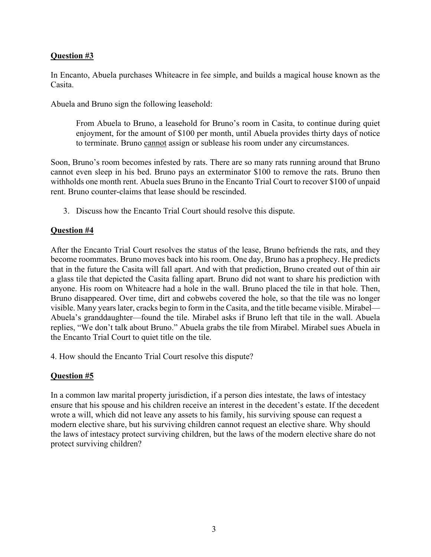# **Question #3**

In Encanto, Abuela purchases Whiteacre in fee simple, and builds a magical house known as the Casita.

Abuela and Bruno sign the following leasehold:

From Abuela to Bruno, a leasehold for Bruno's room in Casita, to continue during quiet enjoyment, for the amount of \$100 per month, until Abuela provides thirty days of notice to terminate. Bruno cannot assign or sublease his room under any circumstances.

Soon, Bruno's room becomes infested by rats. There are so many rats running around that Bruno cannot even sleep in his bed. Bruno pays an exterminator \$100 to remove the rats. Bruno then withholds one month rent. Abuela sues Bruno in the Encanto Trial Court to recover \$100 of unpaid rent. Bruno counter-claims that lease should be rescinded.

3. Discuss how the Encanto Trial Court should resolve this dispute.

#### **Question #4**

After the Encanto Trial Court resolves the status of the lease, Bruno befriends the rats, and they become roommates. Bruno moves back into his room. One day, Bruno has a prophecy. He predicts that in the future the Casita will fall apart. And with that prediction, Bruno created out of thin air a glass tile that depicted the Casita falling apart. Bruno did not want to share his prediction with anyone. His room on Whiteacre had a hole in the wall. Bruno placed the tile in that hole. Then, Bruno disappeared. Over time, dirt and cobwebs covered the hole, so that the tile was no longer visible. Many years later, cracks begin to form in the Casita, and the title became visible. Mirabel— Abuela's granddaughter—found the tile. Mirabel asks if Bruno left that tile in the wall. Abuela replies, "We don't talk about Bruno." Abuela grabs the tile from Mirabel. Mirabel sues Abuela in the Encanto Trial Court to quiet title on the tile.

4. How should the Encanto Trial Court resolve this dispute?

#### **Question #5**

In a common law marital property jurisdiction, if a person dies intestate, the laws of intestacy ensure that his spouse and his children receive an interest in the decedent's estate. If the decedent wrote a will, which did not leave any assets to his family, his surviving spouse can request a modern elective share, but his surviving children cannot request an elective share. Why should the laws of intestacy protect surviving children, but the laws of the modern elective share do not protect surviving children?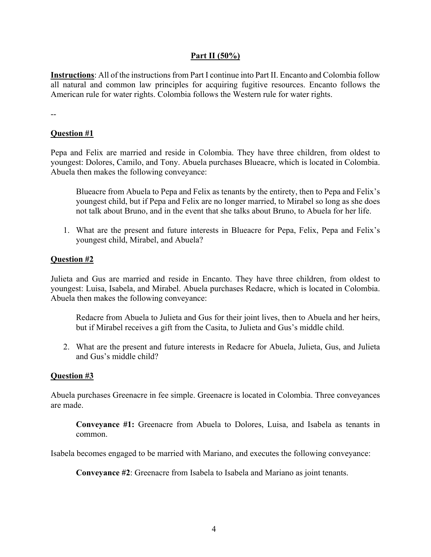## **Part II (50%)**

**Instructions**: All of the instructions from Part I continue into Part II. Encanto and Colombia follow all natural and common law principles for acquiring fugitive resources. Encanto follows the American rule for water rights. Colombia follows the Western rule for water rights.

--

# **Question #1**

Pepa and Felix are married and reside in Colombia. They have three children, from oldest to youngest: Dolores, Camilo, and Tony. Abuela purchases Blueacre, which is located in Colombia. Abuela then makes the following conveyance:

Blueacre from Abuela to Pepa and Felix as tenants by the entirety, then to Pepa and Felix's youngest child, but if Pepa and Felix are no longer married, to Mirabel so long as she does not talk about Bruno, and in the event that she talks about Bruno, to Abuela for her life.

1. What are the present and future interests in Blueacre for Pepa, Felix, Pepa and Felix's youngest child, Mirabel, and Abuela?

## **Question #2**

Julieta and Gus are married and reside in Encanto. They have three children, from oldest to youngest: Luisa, Isabela, and Mirabel. Abuela purchases Redacre, which is located in Colombia. Abuela then makes the following conveyance:

Redacre from Abuela to Julieta and Gus for their joint lives, then to Abuela and her heirs, but if Mirabel receives a gift from the Casita, to Julieta and Gus's middle child.

2. What are the present and future interests in Redacre for Abuela, Julieta, Gus, and Julieta and Gus's middle child?

#### **Question #3**

Abuela purchases Greenacre in fee simple. Greenacre is located in Colombia. Three conveyances are made.

**Conveyance #1:** Greenacre from Abuela to Dolores, Luisa, and Isabela as tenants in common.

Isabela becomes engaged to be married with Mariano, and executes the following conveyance:

**Conveyance #2**: Greenacre from Isabela to Isabela and Mariano as joint tenants.